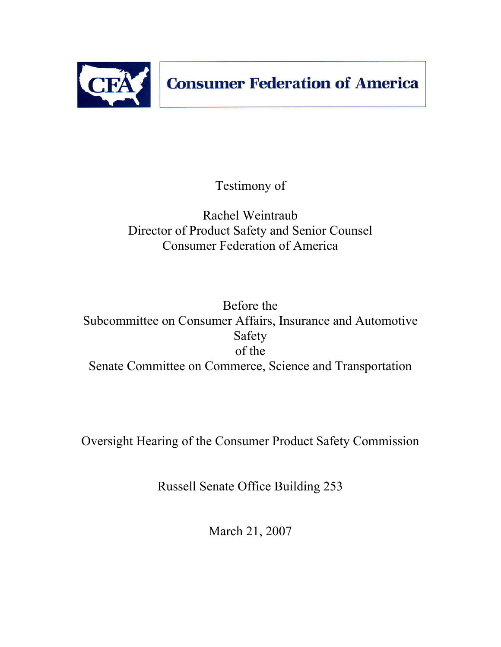

Testimony of

# Rachel Weintraub Director of Product Safety and Senior Counsel Consumer Federation of America

Before the Subcommittee on Consumer Affairs, Insurance and Automotive Safety of the Senate Committee on Commerce, Science and Transportation

Oversight Hearing of the Consumer Product Safety Commission

Russell Senate Office Building 253

March 21, 2007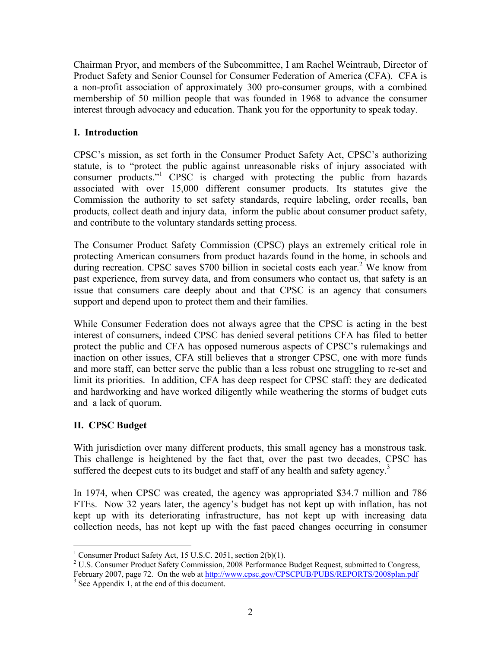Chairman Pryor, and members of the Subcommittee, I am Rachel Weintraub, Director of Product Safety and Senior Counsel for Consumer Federation of America (CFA). CFA is a non-profit association of approximately 300 pro-consumer groups, with a combined membership of 50 million people that was founded in 1968 to advance the consumer interest through advocacy and education. Thank you for the opportunity to speak today.

## **I. Introduction**

CPSC's mission, as set forth in the Consumer Product Safety Act, CPSC's authorizing statute, is to "protect the public against unreasonable risks of injury associated with consumer products."1 CPSC is charged with protecting the public from hazards associated with over 15,000 different consumer products. Its statutes give the Commission the authority to set safety standards, require labeling, order recalls, ban products, collect death and injury data, inform the public about consumer product safety, and contribute to the voluntary standards setting process.

The Consumer Product Safety Commission (CPSC) plays an extremely critical role in protecting American consumers from product hazards found in the home, in schools and during recreation. CPSC saves \$700 billion in societal costs each year.<sup>2</sup> We know from past experience, from survey data, and from consumers who contact us, that safety is an issue that consumers care deeply about and that CPSC is an agency that consumers support and depend upon to protect them and their families.

While Consumer Federation does not always agree that the CPSC is acting in the best interest of consumers, indeed CPSC has denied several petitions CFA has filed to better protect the public and CFA has opposed numerous aspects of CPSC's rulemakings and inaction on other issues, CFA still believes that a stronger CPSC, one with more funds and more staff, can better serve the public than a less robust one struggling to re-set and limit its priorities. In addition, CFA has deep respect for CPSC staff: they are dedicated and hardworking and have worked diligently while weathering the storms of budget cuts and a lack of quorum.

## **II. CPSC Budget**

With jurisdiction over many different products, this small agency has a monstrous task. This challenge is heightened by the fact that, over the past two decades, CPSC has suffered the deepest cuts to its budget and staff of any health and safety agency.<sup>3</sup>

In 1974, when CPSC was created, the agency was appropriated \$34.7 million and 786 FTEs. Now 32 years later, the agency's budget has not kept up with inflation, has not kept up with its deteriorating infrastructure, has not kept up with increasing data collection needs, has not kept up with the fast paced changes occurring in consumer

 1 Consumer Product Safety Act, 15 U.S.C. 2051, section 2(b)(1).

<sup>&</sup>lt;sup>2</sup> U.S. Consumer Product Safety Commission, 2008 Performance Budget Request, submitted to Congress, February 2007, page 72. On the web at http://www.cpsc.gov/CPSCPUB/PUBS/REPORTS/2008plan.pdf  $3$  See Appendix 1, at the end of this document.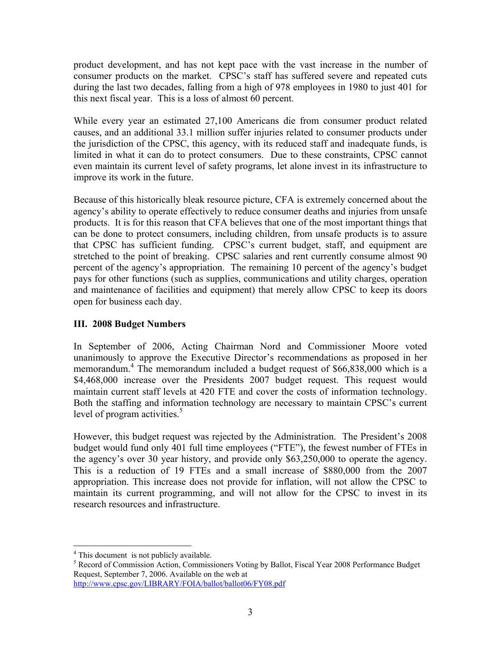product development, and has not kept pace with the vast increase in the number of consumer products on the market. CPSC's staff has suffered severe and repeated cuts during the last two decades, falling from a high of 978 employees in 1980 to just 401 for this next fiscal year. This is a loss of almost 60 percent.

While every year an estimated 27,100 Americans die from consumer product related causes, and an additional 33.1 million suffer injuries related to consumer products under the jurisdiction of the CPSC, this agency, with its reduced staff and inadequate funds, is limited in what it can do to protect consumers. Due to these constraints, CPSC cannot even maintain its current level of safety programs, let alone invest in its infrastructure to improve its work in the future.

Because of this historically bleak resource picture, CFA is extremely concerned about the agency's ability to operate effectively to reduce consumer deaths and injuries from unsafe products. It is for this reason that CFA believes that one of the most important things that can be done to protect consumers, including children, from unsafe products is to assure that CPSC has sufficient funding. CPSC's current budget, staff, and equipment are stretched to the point of breaking. CPSC salaries and rent currently consume almost 90 percent of the agency's appropriation. The remaining 10 percent of the agency's budget pays for other functions (such as supplies, communications and utility charges, operation and maintenance of facilities and equipment) that merely allow CPSC to keep its doors open for business each day.

## **III. 2008 Budget Numbers**

In September of 2006, Acting Chairman Nord and Commissioner Moore voted unanimously to approve the Executive Director's recommendations as proposed in her memorandum.<sup>4</sup> The memorandum included a budget request of \$66,838,000 which is a \$4,468,000 increase over the Presidents 2007 budget request. This request would maintain current staff levels at 420 FTE and cover the costs of information technology. Both the staffing and information technology are necessary to maintain CPSC's current level of program activities. $\frac{5}{3}$ 

However, this budget request was rejected by the Administration. The President's 2008 budget would fund only 401 full time employees ("FTE"), the fewest number of FTEs in the agency's over 30 year history, and provide only \$63,250,000 to operate the agency. This is a reduction of 19 FTEs and a small increase of \$880,000 from the 2007 appropriation. This increase does not provide for inflation, will not allow the CPSC to maintain its current programming, and will not allow for the CPSC to invest in its research resources and infrastructure.

<sup>&</sup>lt;sup>4</sup> This document is not publicly available.

<sup>&</sup>lt;sup>5</sup> Record of Commission Action, Commissioners Voting by Ballot, Fiscal Year 2008 Performance Budget Request, September 7, 2006. Available on the web at http://www.cpsc.gov/LIBRARY/FOIA/ballot/ballot06/FY08.pdf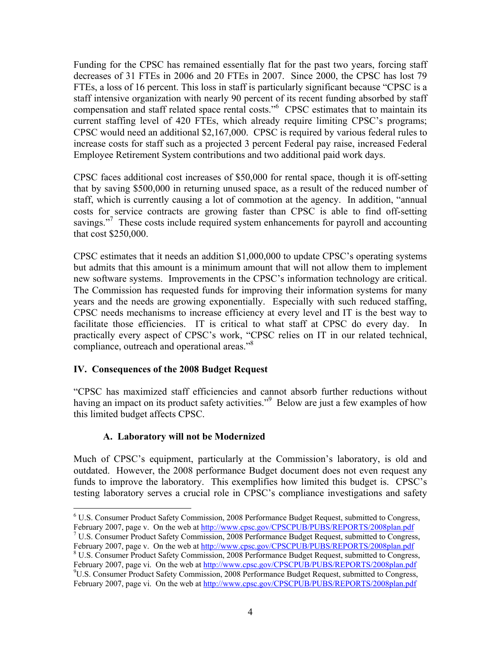Funding for the CPSC has remained essentially flat for the past two years, forcing staff decreases of 31 FTEs in 2006 and 20 FTEs in 2007. Since 2000, the CPSC has lost 79 FTEs, a loss of 16 percent. This loss in staff is particularly significant because "CPSC is a staff intensive organization with nearly 90 percent of its recent funding absorbed by staff compensation and staff related space rental costs."<sup>6</sup> CPSC estimates that to maintain its current staffing level of 420 FTEs, which already require limiting CPSC's programs; CPSC would need an additional \$2,167,000. CPSC is required by various federal rules to increase costs for staff such as a projected 3 percent Federal pay raise, increased Federal Employee Retirement System contributions and two additional paid work days.

CPSC faces additional cost increases of \$50,000 for rental space, though it is off-setting that by saving \$500,000 in returning unused space, as a result of the reduced number of staff, which is currently causing a lot of commotion at the agency. In addition, "annual costs for service contracts are growing faster than CPSC is able to find off-setting savings."<sup>7</sup> These costs include required system enhancements for payroll and accounting that cost \$250,000.

CPSC estimates that it needs an addition \$1,000,000 to update CPSC's operating systems but admits that this amount is a minimum amount that will not allow them to implement new software systems. Improvements in the CPSC's information technology are critical. The Commission has requested funds for improving their information systems for many years and the needs are growing exponentially. Especially with such reduced staffing, CPSC needs mechanisms to increase efficiency at every level and IT is the best way to facilitate those efficiencies. IT is critical to what staff at CPSC do every day. In practically every aspect of CPSC's work, "CPSC relies on IT in our related technical, compliance, outreach and operational areas."<sup>8</sup>

## **IV. Consequences of the 2008 Budget Request**

"CPSC has maximized staff efficiencies and cannot absorb further reductions without having an impact on its product safety activities."<sup>9</sup> Below are just a few examples of how this limited budget affects CPSC.

## **A. Laboratory will not be Modernized**

Much of CPSC's equipment, particularly at the Commission's laboratory, is old and outdated. However, the 2008 performance Budget document does not even request any funds to improve the laboratory. This exemplifies how limited this budget is. CPSC's testing laboratory serves a crucial role in CPSC's compliance investigations and safety

 $\frac{7 \text{ U.S.} }{200 \text{ S}}$  Consumer Product Safety Commission, 2008 Performance Budget Request, submitted to Congress, February 2007, page v. On the web at http://www.cpsc.gov/CPSCPUB/PUBS/REPORTS/2008plan.pdf

 $\overline{a}$ <sup>6</sup> U.S. Consumer Product Safety Commission, 2008 Performance Budget Request, submitted to Congress, February 2007, page v. On the web at http://www.cpsc.gov/CPSCPUB/PUBS/REPORTS/2008plan.pdf

U.S. Consumer Product Safety Commission, 2008 Performance Budget Request, submitted to Congress, February 2007, page vi. On the web at http://www.cpsc.gov/CPSCPUB/PUBS/REPORTS/2008plan.pdf  $^{9}$ U.S. Consumer Product Safety Commission, 2008 Performance Budget Request, submitted to Congress,

February 2007, page vi. On the web at http://www.cpsc.gov/CPSCPUB/PUBS/REPORTS/2008plan.pdf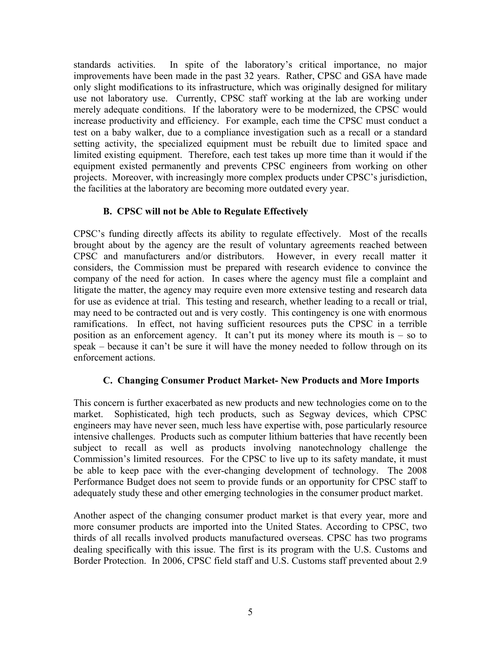standards activities. In spite of the laboratory's critical importance, no major improvements have been made in the past 32 years. Rather, CPSC and GSA have made only slight modifications to its infrastructure, which was originally designed for military use not laboratory use. Currently, CPSC staff working at the lab are working under merely adequate conditions. If the laboratory were to be modernized, the CPSC would increase productivity and efficiency. For example, each time the CPSC must conduct a test on a baby walker, due to a compliance investigation such as a recall or a standard setting activity, the specialized equipment must be rebuilt due to limited space and limited existing equipment. Therefore, each test takes up more time than it would if the equipment existed permanently and prevents CPSC engineers from working on other projects. Moreover, with increasingly more complex products under CPSC's jurisdiction, the facilities at the laboratory are becoming more outdated every year.

## **B. CPSC will not be Able to Regulate Effectively**

CPSC's funding directly affects its ability to regulate effectively. Most of the recalls brought about by the agency are the result of voluntary agreements reached between CPSC and manufacturers and/or distributors. However, in every recall matter it considers, the Commission must be prepared with research evidence to convince the company of the need for action. In cases where the agency must file a complaint and litigate the matter, the agency may require even more extensive testing and research data for use as evidence at trial. This testing and research, whether leading to a recall or trial, may need to be contracted out and is very costly. This contingency is one with enormous ramifications. In effect, not having sufficient resources puts the CPSC in a terrible position as an enforcement agency. It can't put its money where its mouth is – so to speak – because it can't be sure it will have the money needed to follow through on its enforcement actions.

## **C. Changing Consumer Product Market- New Products and More Imports**

This concern is further exacerbated as new products and new technologies come on to the market. Sophisticated, high tech products, such as Segway devices, which CPSC engineers may have never seen, much less have expertise with, pose particularly resource intensive challenges. Products such as computer lithium batteries that have recently been subject to recall as well as products involving nanotechnology challenge the Commission's limited resources. For the CPSC to live up to its safety mandate, it must be able to keep pace with the ever-changing development of technology. The 2008 Performance Budget does not seem to provide funds or an opportunity for CPSC staff to adequately study these and other emerging technologies in the consumer product market.

Another aspect of the changing consumer product market is that every year, more and more consumer products are imported into the United States. According to CPSC, two thirds of all recalls involved products manufactured overseas. CPSC has two programs dealing specifically with this issue. The first is its program with the U.S. Customs and Border Protection. In 2006, CPSC field staff and U.S. Customs staff prevented about 2.9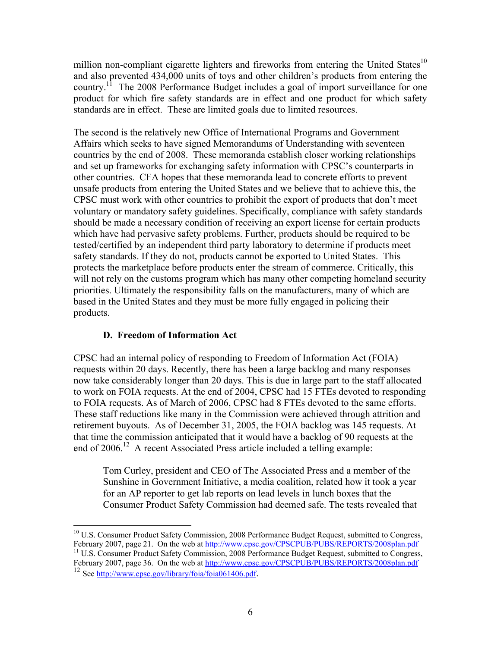million non-compliant cigarette lighters and fireworks from entering the United States<sup>10</sup> and also prevented 434,000 units of toys and other children's products from entering the country.<sup>11</sup> The 2008 Performance Budget includes a goal of import surveillance for one product for which fire safety standards are in effect and one product for which safety standards are in effect. These are limited goals due to limited resources.

The second is the relatively new Office of International Programs and Government Affairs which seeks to have signed Memorandums of Understanding with seventeen countries by the end of 2008. These memoranda establish closer working relationships and set up frameworks for exchanging safety information with CPSC's counterparts in other countries. CFA hopes that these memoranda lead to concrete efforts to prevent unsafe products from entering the United States and we believe that to achieve this, the CPSC must work with other countries to prohibit the export of products that don't meet voluntary or mandatory safety guidelines. Specifically, compliance with safety standards should be made a necessary condition of receiving an export license for certain products which have had pervasive safety problems. Further, products should be required to be tested/certified by an independent third party laboratory to determine if products meet safety standards. If they do not, products cannot be exported to United States. This protects the marketplace before products enter the stream of commerce. Critically, this will not rely on the customs program which has many other competing homeland security priorities. Ultimately the responsibility falls on the manufacturers, many of which are based in the United States and they must be more fully engaged in policing their products.

## **D. Freedom of Information Act**

CPSC had an internal policy of responding to Freedom of Information Act (FOIA) requests within 20 days. Recently, there has been a large backlog and many responses now take considerably longer than 20 days. This is due in large part to the staff allocated to work on FOIA requests. At the end of 2004, CPSC had 15 FTEs devoted to responding to FOIA requests. As of March of 2006, CPSC had 8 FTEs devoted to the same efforts. These staff reductions like many in the Commission were achieved through attrition and retirement buyouts. As of December 31, 2005, the FOIA backlog was 145 requests. At that time the commission anticipated that it would have a backlog of 90 requests at the end of 2006.<sup>12</sup> A recent Associated Press article included a telling example:

Tom Curley, president and CEO of The Associated Press and a member of the Sunshine in Government Initiative, a media coalition, related how it took a year for an AP reporter to get lab reports on lead levels in lunch boxes that the Consumer Product Safety Commission had deemed safe. The tests revealed that

 $^{11}$  U.S. Consumer Product Safety Commission, 2008 Performance Budget Request, submitted to Congress, February 2007, page 36. On the web at http://www.cpsc.gov/CPSCPUB/PUBS/REPORTS/2008plan.pdf

 $\overline{a}$ <sup>10</sup> U.S. Consumer Product Safety Commission, 2008 Performance Budget Request, submitted to Congress, February 2007, page 21. On the web at  $\frac{http://www.cpsc.gov/CPSCPUB/PUBS/REPORTS/2008plan.pdf}{http://www.cpsc.gov/CPSCPUB/PUBS/REPORTS/2008plan.pdf}$ 

 $12$  See http://www.cpsc.gov/library/foia/foia061406.pdf.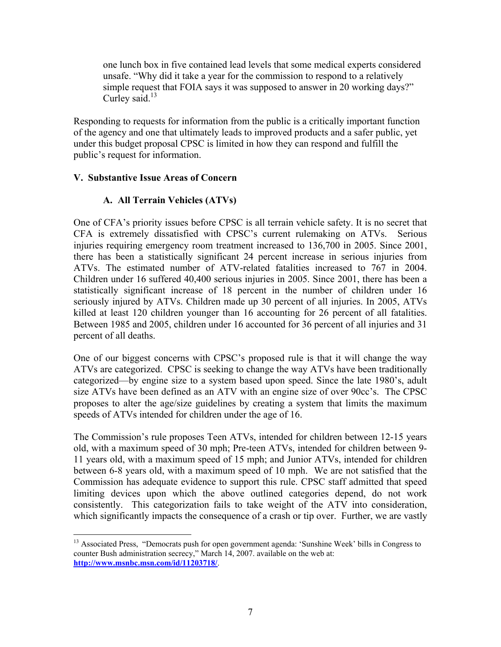one lunch box in five contained lead levels that some medical experts considered unsafe. "Why did it take a year for the commission to respond to a relatively simple request that FOIA says it was supposed to answer in 20 working days?" Curley said. $^{13}$ 

Responding to requests for information from the public is a critically important function of the agency and one that ultimately leads to improved products and a safer public, yet under this budget proposal CPSC is limited in how they can respond and fulfill the public's request for information.

#### **V. Substantive Issue Areas of Concern**

## **A. All Terrain Vehicles (ATVs)**

One of CFA's priority issues before CPSC is all terrain vehicle safety. It is no secret that CFA is extremely dissatisfied with CPSC's current rulemaking on ATVs. Serious injuries requiring emergency room treatment increased to 136,700 in 2005. Since 2001, there has been a statistically significant 24 percent increase in serious injuries from ATVs. The estimated number of ATV-related fatalities increased to 767 in 2004. Children under 16 suffered 40,400 serious injuries in 2005. Since 2001, there has been a statistically significant increase of 18 percent in the number of children under 16 seriously injured by ATVs. Children made up 30 percent of all injuries. In 2005, ATVs killed at least 120 children younger than 16 accounting for 26 percent of all fatalities. Between 1985 and 2005, children under 16 accounted for 36 percent of all injuries and 31 percent of all deaths.

One of our biggest concerns with CPSC's proposed rule is that it will change the way ATVs are categorized. CPSC is seeking to change the way ATVs have been traditionally categorized—by engine size to a system based upon speed. Since the late 1980's, adult size ATVs have been defined as an ATV with an engine size of over 90cc's. The CPSC proposes to alter the age/size guidelines by creating a system that limits the maximum speeds of ATVs intended for children under the age of 16.

The Commission's rule proposes Teen ATVs, intended for children between 12-15 years old, with a maximum speed of 30 mph; Pre-teen ATVs, intended for children between 9- 11 years old, with a maximum speed of 15 mph; and Junior ATVs, intended for children between 6-8 years old, with a maximum speed of 10 mph. We are not satisfied that the Commission has adequate evidence to support this rule. CPSC staff admitted that speed limiting devices upon which the above outlined categories depend, do not work consistently. This categorization fails to take weight of the ATV into consideration, which significantly impacts the consequence of a crash or tip over. Further, we are vastly

 $\overline{a}$ <sup>13</sup> Associated Press, "Democrats push for open government agenda: 'Sunshine Week' bills in Congress to counter Bush administration secrecy," March 14, 2007. available on the web at: **http://www.msnbc.msn.com/id/11203718/**.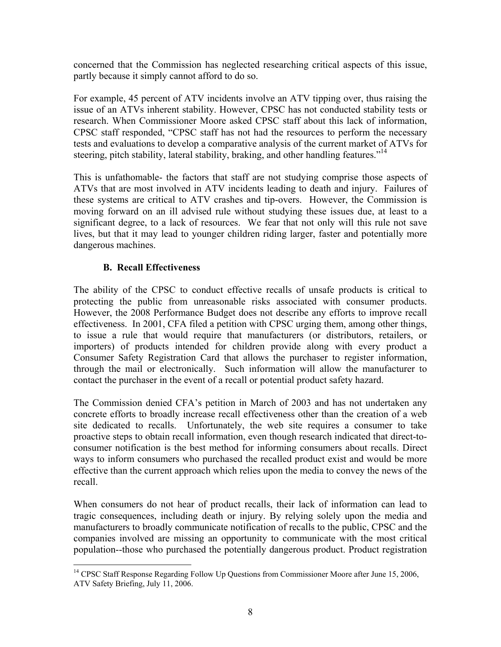concerned that the Commission has neglected researching critical aspects of this issue, partly because it simply cannot afford to do so.

For example, 45 percent of ATV incidents involve an ATV tipping over, thus raising the issue of an ATVs inherent stability. However, CPSC has not conducted stability tests or research. When Commissioner Moore asked CPSC staff about this lack of information, CPSC staff responded, "CPSC staff has not had the resources to perform the necessary tests and evaluations to develop a comparative analysis of the current market of ATVs for steering, pitch stability, lateral stability, braking, and other handling features."<sup>14</sup>

This is unfathomable- the factors that staff are not studying comprise those aspects of ATVs that are most involved in ATV incidents leading to death and injury. Failures of these systems are critical to ATV crashes and tip-overs. However, the Commission is moving forward on an ill advised rule without studying these issues due, at least to a significant degree, to a lack of resources. We fear that not only will this rule not save lives, but that it may lead to younger children riding larger, faster and potentially more dangerous machines.

## **B. Recall Effectiveness**

1

The ability of the CPSC to conduct effective recalls of unsafe products is critical to protecting the public from unreasonable risks associated with consumer products. However, the 2008 Performance Budget does not describe any efforts to improve recall effectiveness. In 2001, CFA filed a petition with CPSC urging them, among other things, to issue a rule that would require that manufacturers (or distributors, retailers, or importers) of products intended for children provide along with every product a Consumer Safety Registration Card that allows the purchaser to register information, through the mail or electronically. Such information will allow the manufacturer to contact the purchaser in the event of a recall or potential product safety hazard.

The Commission denied CFA's petition in March of 2003 and has not undertaken any concrete efforts to broadly increase recall effectiveness other than the creation of a web site dedicated to recalls. Unfortunately, the web site requires a consumer to take proactive steps to obtain recall information, even though research indicated that direct-toconsumer notification is the best method for informing consumers about recalls. Direct ways to inform consumers who purchased the recalled product exist and would be more effective than the current approach which relies upon the media to convey the news of the recall.

When consumers do not hear of product recalls, their lack of information can lead to tragic consequences, including death or injury. By relying solely upon the media and manufacturers to broadly communicate notification of recalls to the public, CPSC and the companies involved are missing an opportunity to communicate with the most critical population--those who purchased the potentially dangerous product. Product registration

<sup>&</sup>lt;sup>14</sup> CPSC Staff Response Regarding Follow Up Questions from Commissioner Moore after June 15, 2006, ATV Safety Briefing, July 11, 2006.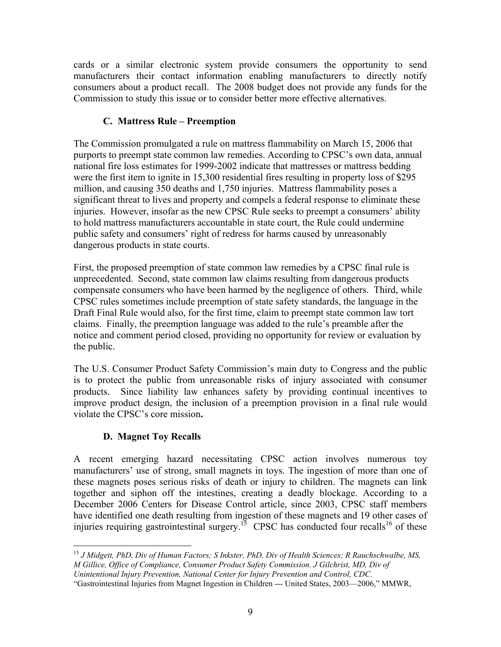cards or a similar electronic system provide consumers the opportunity to send manufacturers their contact information enabling manufacturers to directly notify consumers about a product recall. The 2008 budget does not provide any funds for the Commission to study this issue or to consider better more effective alternatives.

## **C. Mattress Rule – Preemption**

The Commission promulgated a rule on mattress flammability on March 15, 2006 that purports to preempt state common law remedies. According to CPSC's own data, annual national fire loss estimates for 1999-2002 indicate that mattresses or mattress bedding were the first item to ignite in 15,300 residential fires resulting in property loss of \$295 million, and causing 350 deaths and 1,750 injuries. Mattress flammability poses a significant threat to lives and property and compels a federal response to eliminate these injuries. However, insofar as the new CPSC Rule seeks to preempt a consumers' ability to hold mattress manufacturers accountable in state court, the Rule could undermine public safety and consumers' right of redress for harms caused by unreasonably dangerous products in state courts.

First, the proposed preemption of state common law remedies by a CPSC final rule is unprecedented. Second, state common law claims resulting from dangerous products compensate consumers who have been harmed by the negligence of others. Third, while CPSC rules sometimes include preemption of state safety standards, the language in the Draft Final Rule would also, for the first time, claim to preempt state common law tort claims. Finally, the preemption language was added to the rule's preamble after the notice and comment period closed, providing no opportunity for review or evaluation by the public.

The U.S. Consumer Product Safety Commission's main duty to Congress and the public is to protect the public from unreasonable risks of injury associated with consumer products. Since liability law enhances safety by providing continual incentives to improve product design, the inclusion of a preemption provision in a final rule would violate the CPSC's core mission**.** 

## **D. Magnet Toy Recalls**

A recent emerging hazard necessitating CPSC action involves numerous toy manufacturers' use of strong, small magnets in toys. The ingestion of more than one of these magnets poses serious risks of death or injury to children. The magnets can link together and siphon off the intestines, creating a deadly blockage. According to a December 2006 Centers for Disease Control article, since 2003, CPSC staff members have identified one death resulting from ingestion of these magnets and 19 other cases of injuries requiring gastrointestinal surgery.<sup>15</sup> CPSC has conducted four recalls<sup>16</sup> of these

<sup>&</sup>lt;u>.</u> <sup>15</sup> *J Midgett, PhD, Div of Human Factors; S Inkster, PhD, Div of Health Sciences; R Rauchschwalbe, MS, M Gillice, Office of Compliance, Consumer Product Safety Commission. J Gilchrist, MD, Div of Unintentional Injury Prevention, National Center for Injury Prevention and Control, CDC.*

<sup>&</sup>quot;Gastrointestinal Injuries from Magnet Ingestion in Children --- United States, 2003—2006," MMWR,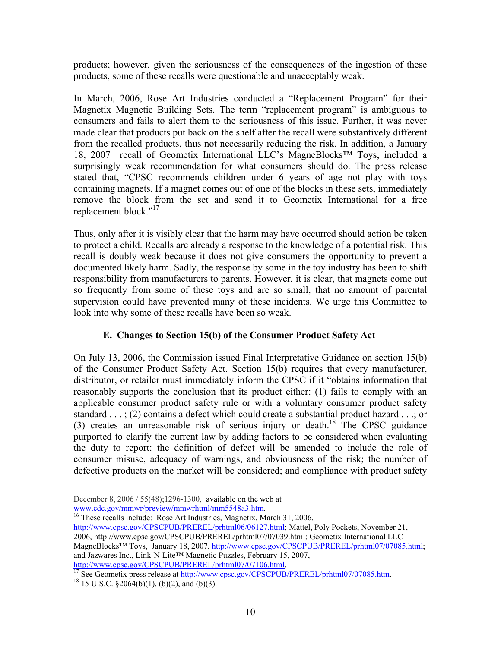products; however, given the seriousness of the consequences of the ingestion of these products, some of these recalls were questionable and unacceptably weak.

In March, 2006, Rose Art Industries conducted a "Replacement Program" for their Magnetix Magnetic Building Sets. The term "replacement program" is ambiguous to consumers and fails to alert them to the seriousness of this issue. Further, it was never made clear that products put back on the shelf after the recall were substantively different from the recalled products, thus not necessarily reducing the risk. In addition, a January 18, 2007 recall of Geometix International LLC's MagneBlocks™ Toys, included a surprisingly weak recommendation for what consumers should do. The press release stated that, "CPSC recommends children under 6 years of age not play with toys containing magnets. If a magnet comes out of one of the blocks in these sets, immediately remove the block from the set and send it to Geometix International for a free replacement block."<sup>17</sup>

Thus, only after it is visibly clear that the harm may have occurred should action be taken to protect a child. Recalls are already a response to the knowledge of a potential risk. This recall is doubly weak because it does not give consumers the opportunity to prevent a documented likely harm. Sadly, the response by some in the toy industry has been to shift responsibility from manufacturers to parents. However, it is clear, that magnets come out so frequently from some of these toys and are so small, that no amount of parental supervision could have prevented many of these incidents. We urge this Committee to look into why some of these recalls have been so weak.

## **E. Changes to Section 15(b) of the Consumer Product Safety Act**

On July 13, 2006, the Commission issued Final Interpretative Guidance on section 15(b) of the Consumer Product Safety Act. Section 15(b) requires that every manufacturer, distributor, or retailer must immediately inform the CPSC if it "obtains information that reasonably supports the conclusion that its product either: (1) fails to comply with an applicable consumer product safety rule or with a voluntary consumer product safety standard . . . ; (2) contains a defect which could create a substantial product hazard . . .; or (3) creates an unreasonable risk of serious injury or death.<sup>18</sup> The CPSC guidance purported to clarify the current law by adding factors to be considered when evaluating the duty to report: the definition of defect will be amended to include the role of consumer misuse, adequacy of warnings, and obviousness of the risk; the number of defective products on the market will be considered; and compliance with product safety

December 8, 2006 / 55(48);1296-1300, available on the web at www.cdc.gov/mmwr/preview/mmwrhtml/mm5548a3.htm.

 $\frac{16}{16}$  These recalls include: Rose Art Industries, Magnetix, March 31, 2006, http://www.cpsc.gov/CPSCPUB/PREREL/prhtml06/06127.html; Mattel, Poly Pockets, November 21, 2006, http://www.cpsc.gov/CPSCPUB/PREREL/prhtml07/07039.html; Geometix International LLC

MagneBlocks™ Toys, January 18, 2007, http://www.cpsc.gov/CPSCPUB/PREREL/prhtml07/07085.html; and Jazwares Inc., Link-N-Lite<sup>TM</sup> Magnetic Puzzles, February 15, 2007, http://www.cpsc.gov/CPSCPUB/PREREL/prhtml07/07106.html.

 $\frac{17}{17}$  See Geometix press release at http://www.cpsc.gov/CPSCPUB/PREREL/prhtml07/07085.htm. 18 15 U.S.C. §2064(b)(1), (b)(2), and (b)(3).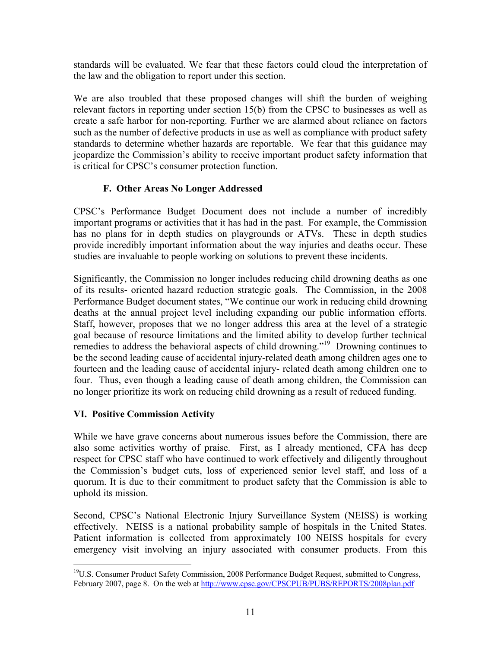standards will be evaluated. We fear that these factors could cloud the interpretation of the law and the obligation to report under this section.

We are also troubled that these proposed changes will shift the burden of weighing relevant factors in reporting under section 15(b) from the CPSC to businesses as well as create a safe harbor for non-reporting. Further we are alarmed about reliance on factors such as the number of defective products in use as well as compliance with product safety standards to determine whether hazards are reportable. We fear that this guidance may jeopardize the Commission's ability to receive important product safety information that is critical for CPSC's consumer protection function.

## **F. Other Areas No Longer Addressed**

CPSC's Performance Budget Document does not include a number of incredibly important programs or activities that it has had in the past. For example, the Commission has no plans for in depth studies on playgrounds or ATVs. These in depth studies provide incredibly important information about the way injuries and deaths occur. These studies are invaluable to people working on solutions to prevent these incidents.

Significantly, the Commission no longer includes reducing child drowning deaths as one of its results- oriented hazard reduction strategic goals. The Commission, in the 2008 Performance Budget document states, "We continue our work in reducing child drowning deaths at the annual project level including expanding our public information efforts. Staff, however, proposes that we no longer address this area at the level of a strategic goal because of resource limitations and the limited ability to develop further technical remedies to address the behavioral aspects of child drowning."<sup>19</sup> Drowning continues to be the second leading cause of accidental injury-related death among children ages one to fourteen and the leading cause of accidental injury- related death among children one to four. Thus, even though a leading cause of death among children, the Commission can no longer prioritize its work on reducing child drowning as a result of reduced funding.

## **VI. Positive Commission Activity**

1

While we have grave concerns about numerous issues before the Commission, there are also some activities worthy of praise. First, as I already mentioned, CFA has deep respect for CPSC staff who have continued to work effectively and diligently throughout the Commission's budget cuts, loss of experienced senior level staff, and loss of a quorum. It is due to their commitment to product safety that the Commission is able to uphold its mission.

Second, CPSC's National Electronic Injury Surveillance System (NEISS) is working effectively. NEISS is a national probability sample of hospitals in the United States. Patient information is collected from approximately 100 NEISS hospitals for every emergency visit involving an injury associated with consumer products. From this

<sup>&</sup>lt;sup>19</sup>U.S. Consumer Product Safety Commission, 2008 Performance Budget Request, submitted to Congress, February 2007, page 8. On the web at http://www.cpsc.gov/CPSCPUB/PUBS/REPORTS/2008plan.pdf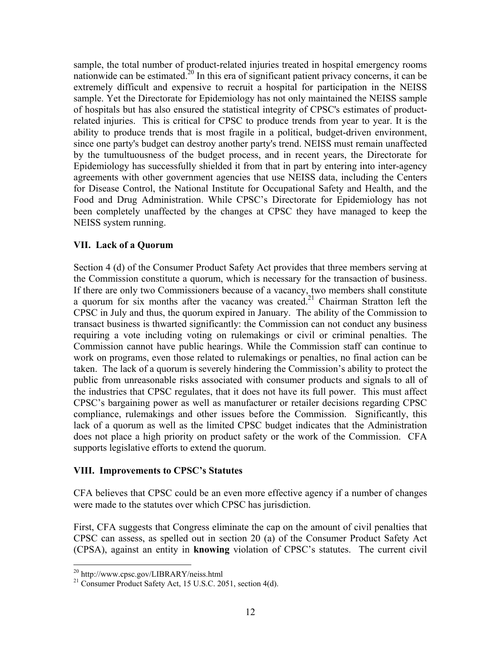sample, the total number of product-related injuries treated in hospital emergency rooms nationwide can be estimated.<sup>20</sup> In this era of significant patient privacy concerns, it can be extremely difficult and expensive to recruit a hospital for participation in the NEISS sample. Yet the Directorate for Epidemiology has not only maintained the NEISS sample of hospitals but has also ensured the statistical integrity of CPSC's estimates of productrelated injuries. This is critical for CPSC to produce trends from year to year. It is the ability to produce trends that is most fragile in a political, budget-driven environment, since one party's budget can destroy another party's trend. NEISS must remain unaffected by the tumultuousness of the budget process, and in recent years, the Directorate for Epidemiology has successfully shielded it from that in part by entering into inter-agency agreements with other government agencies that use NEISS data, including the Centers for Disease Control, the National Institute for Occupational Safety and Health, and the Food and Drug Administration. While CPSC's Directorate for Epidemiology has not been completely unaffected by the changes at CPSC they have managed to keep the NEISS system running.

#### **VII. Lack of a Quorum**

Section 4 (d) of the Consumer Product Safety Act provides that three members serving at the Commission constitute a quorum, which is necessary for the transaction of business. If there are only two Commissioners because of a vacancy, two members shall constitute a quorum for six months after the vacancy was created.<sup>21</sup> Chairman Stratton left the CPSC in July and thus, the quorum expired in January. The ability of the Commission to transact business is thwarted significantly: the Commission can not conduct any business requiring a vote including voting on rulemakings or civil or criminal penalties. The Commission cannot have public hearings. While the Commission staff can continue to work on programs, even those related to rulemakings or penalties, no final action can be taken. The lack of a quorum is severely hindering the Commission's ability to protect the public from unreasonable risks associated with consumer products and signals to all of the industries that CPSC regulates, that it does not have its full power. This must affect CPSC's bargaining power as well as manufacturer or retailer decisions regarding CPSC compliance, rulemakings and other issues before the Commission. Significantly, this lack of a quorum as well as the limited CPSC budget indicates that the Administration does not place a high priority on product safety or the work of the Commission. CFA supports legislative efforts to extend the quorum.

#### **VIII. Improvements to CPSC's Statutes**

CFA believes that CPSC could be an even more effective agency if a number of changes were made to the statutes over which CPSC has jurisdiction.

First, CFA suggests that Congress eliminate the cap on the amount of civil penalties that CPSC can assess, as spelled out in section 20 (a) of the Consumer Product Safety Act (CPSA), against an entity in **knowing** violation of CPSC's statutes. The current civil

 $\overline{a}$ 

<sup>&</sup>lt;sup>20</sup> http://www.cpsc.gov/LIBRARY/neiss.html<br><sup>21</sup> Consumer Product Safety Act, 15 U.S.C. 2051, section 4(d).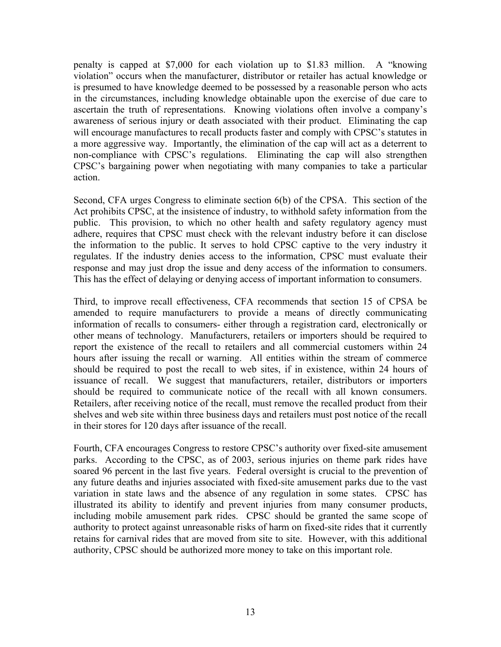penalty is capped at \$7,000 for each violation up to \$1.83 million. A "knowing violation" occurs when the manufacturer, distributor or retailer has actual knowledge or is presumed to have knowledge deemed to be possessed by a reasonable person who acts in the circumstances, including knowledge obtainable upon the exercise of due care to ascertain the truth of representations. Knowing violations often involve a company's awareness of serious injury or death associated with their product. Eliminating the cap will encourage manufactures to recall products faster and comply with CPSC's statutes in a more aggressive way. Importantly, the elimination of the cap will act as a deterrent to non-compliance with CPSC's regulations. Eliminating the cap will also strengthen CPSC's bargaining power when negotiating with many companies to take a particular action.

Second, CFA urges Congress to eliminate section 6(b) of the CPSA. This section of the Act prohibits CPSC, at the insistence of industry, to withhold safety information from the public. This provision, to which no other health and safety regulatory agency must adhere, requires that CPSC must check with the relevant industry before it can disclose the information to the public. It serves to hold CPSC captive to the very industry it regulates. If the industry denies access to the information, CPSC must evaluate their response and may just drop the issue and deny access of the information to consumers. This has the effect of delaying or denying access of important information to consumers.

Third, to improve recall effectiveness, CFA recommends that section 15 of CPSA be amended to require manufacturers to provide a means of directly communicating information of recalls to consumers- either through a registration card, electronically or other means of technology. Manufacturers, retailers or importers should be required to report the existence of the recall to retailers and all commercial customers within 24 hours after issuing the recall or warning. All entities within the stream of commerce should be required to post the recall to web sites, if in existence, within 24 hours of issuance of recall. We suggest that manufacturers, retailer, distributors or importers should be required to communicate notice of the recall with all known consumers. Retailers, after receiving notice of the recall, must remove the recalled product from their shelves and web site within three business days and retailers must post notice of the recall in their stores for 120 days after issuance of the recall.

Fourth, CFA encourages Congress to restore CPSC's authority over fixed-site amusement parks. According to the CPSC, as of 2003, serious injuries on theme park rides have soared 96 percent in the last five years. Federal oversight is crucial to the prevention of any future deaths and injuries associated with fixed-site amusement parks due to the vast variation in state laws and the absence of any regulation in some states. CPSC has illustrated its ability to identify and prevent injuries from many consumer products, including mobile amusement park rides. CPSC should be granted the same scope of authority to protect against unreasonable risks of harm on fixed-site rides that it currently retains for carnival rides that are moved from site to site. However, with this additional authority, CPSC should be authorized more money to take on this important role.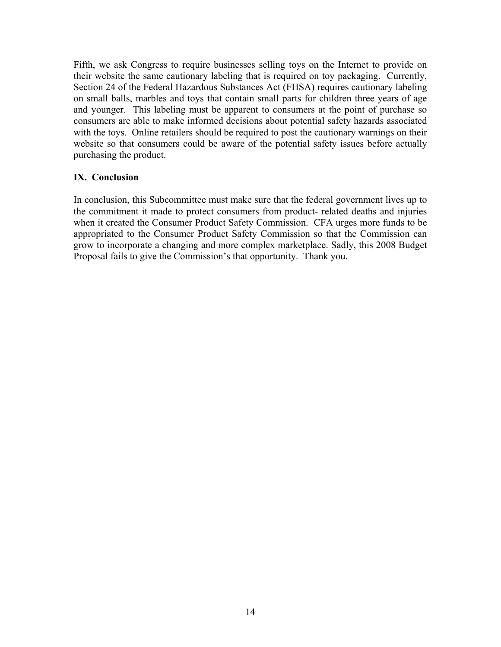Fifth, we ask Congress to require businesses selling toys on the Internet to provide on their website the same cautionary labeling that is required on toy packaging. Currently, Section 24 of the Federal Hazardous Substances Act (FHSA) requires cautionary labeling on small balls, marbles and toys that contain small parts for children three years of age and younger. This labeling must be apparent to consumers at the point of purchase so consumers are able to make informed decisions about potential safety hazards associated with the toys. Online retailers should be required to post the cautionary warnings on their website so that consumers could be aware of the potential safety issues before actually purchasing the product.

#### **IX. Conclusion**

In conclusion, this Subcommittee must make sure that the federal government lives up to the commitment it made to protect consumers from product- related deaths and injuries when it created the Consumer Product Safety Commission. CFA urges more funds to be appropriated to the Consumer Product Safety Commission so that the Commission can grow to incorporate a changing and more complex marketplace. Sadly, this 2008 Budget Proposal fails to give the Commission's that opportunity. Thank you.